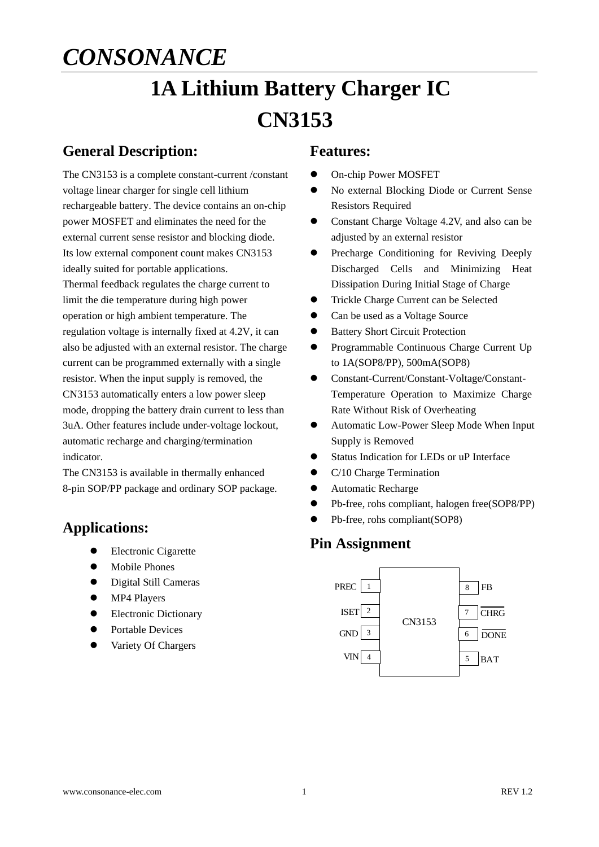# **1A Lithium Battery Charger IC CN3153**

### **General Description:**

The CN3153 is a complete constant-current /constant voltage linear charger for single cell lithium rechargeable battery. The device contains an on-chip power MOSFET and eliminates the need for the external current sense resistor and blocking diode. Its low external component count makes CN3153 ideally suited for portable applications. Thermal feedback regulates the charge current to limit the die temperature during high power operation or high ambient temperature. The regulation voltage is internally fixed at 4.2V, it can also be adjusted with an external resistor. The charge current can be programmed externally with a single resistor. When the input supply is removed, the CN3153 automatically enters a low power sleep mode, dropping the battery drain current to less than 3uA. Other features include under-voltage lockout, automatic recharge and charging/termination indicator.

The CN3153 is available in thermally enhanced 8-pin SOP/PP package and ordinary SOP package.

### **Applications:**

- **•** Electronic Cigarette
- $\bullet$  Mobile Phones
- Digital Still Cameras
- MP4 Players
- **•** Electronic Dictionary
- Portable Devices
- Variety Of Chargers

#### **Features:**

- On-chip Power MOSFET
- No external Blocking Diode or Current Sense Resistors Required
- Constant Charge Voltage 4.2V, and also can be adjusted by an external resistor
- **•** Precharge Conditioning for Reviving Deeply Discharged Cells and Minimizing Heat Dissipation During Initial Stage of Charge
- **•** Trickle Charge Current can be Selected
- Can be used as a Voltage Source
- **•** Battery Short Circuit Protection
- **•** Programmable Continuous Charge Current Up to 1A(SOP8/PP), 500mA(SOP8)
- Constant-Current/Constant-Voltage/Constant-Temperature Operation to Maximize Charge Rate Without Risk of Overheating
- Automatic Low-Power Sleep Mode When Input Supply is Removed
- Status Indication for LEDs or uP Interface
- C/10 Charge Termination
- Automatic Recharge
- Pb-free, rohs compliant, halogen free(SOP8/PP)
- Pb-free, rohs compliant(SOP8)

### **Pin Assignment**

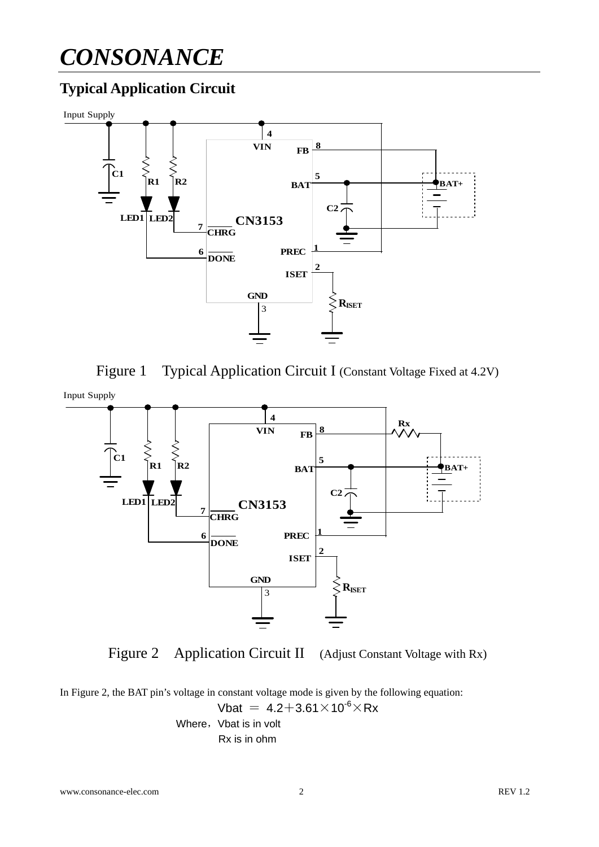### **Typical Application Circuit**







Figure 2 Application Circuit II (Adjust Constant Voltage with Rx)

In Figure 2, the BAT pin's voltage in constant voltage mode is given by the following equation: Vbat =  $4.2 + 3.61 \times 10^{-6} \times Rx$ Where, Vbat is in volt Rx is in ohm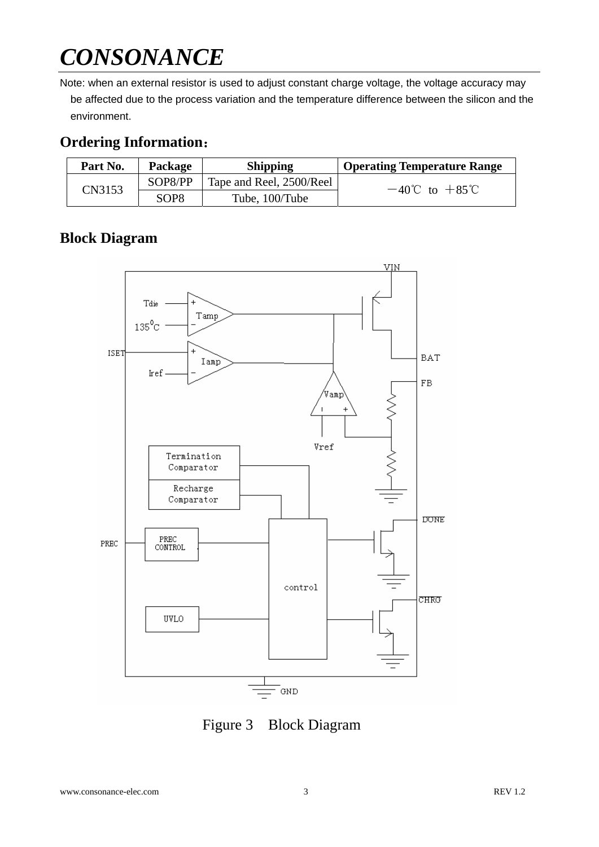Note: when an external resistor is used to adjust constant charge voltage, the voltage accuracy may be affected due to the process variation and the temperature difference between the silicon and the environment.

### **Ordering Information**:

| Part No. | <b>Package</b> | <b>Shipping</b>          | <b>Operating Temperature Range</b> |  |
|----------|----------------|--------------------------|------------------------------------|--|
| CN3153   | SOP8/PP        | Tape and Reel, 2500/Reel | $-40^{\circ}$ C to $+85^{\circ}$ C |  |
|          | SOP8           | Tube, 100/Tube           |                                    |  |

### **Block Diagram**



Figure 3 Block Diagram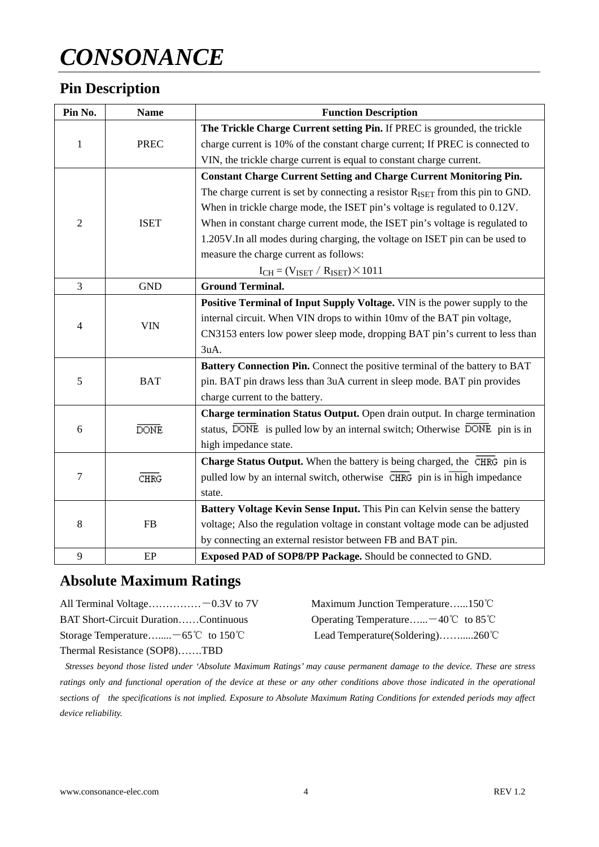### **Pin Description**

| Pin No.          | <b>Name</b> | <b>Function Description</b>                                                                   |
|------------------|-------------|-----------------------------------------------------------------------------------------------|
|                  | <b>PREC</b> | The Trickle Charge Current setting Pin. If PREC is grounded, the trickle                      |
| $\mathbf{1}$     |             | charge current is 10% of the constant charge current; If PREC is connected to                 |
|                  |             | VIN, the trickle charge current is equal to constant charge current.                          |
|                  |             | <b>Constant Charge Current Setting and Charge Current Monitoring Pin.</b>                     |
|                  |             | The charge current is set by connecting a resistor $R_{ISET}$ from this pin to GND.           |
|                  |             | When in trickle charge mode, the ISET pin's voltage is regulated to 0.12V.                    |
| 2                | <b>ISET</b> | When in constant charge current mode, the ISET pin's voltage is regulated to                  |
|                  |             | 1.205V. In all modes during charging, the voltage on ISET pin can be used to                  |
|                  |             | measure the charge current as follows:                                                        |
|                  |             | $I_{CH} = (V_{ISET} / R_{ISET}) \times 1011$                                                  |
| $\overline{3}$   | <b>GND</b>  | <b>Ground Terminal.</b>                                                                       |
|                  | <b>VIN</b>  | Positive Terminal of Input Supply Voltage. VIN is the power supply to the                     |
| 4                |             | internal circuit. When VIN drops to within 10mv of the BAT pin voltage,                       |
|                  |             | CN3153 enters low power sleep mode, dropping BAT pin's current to less than                   |
|                  |             | 3uA.                                                                                          |
|                  | <b>BAT</b>  | Battery Connection Pin. Connect the positive terminal of the battery to BAT                   |
| 5                |             | pin. BAT pin draws less than 3uA current in sleep mode. BAT pin provides                      |
|                  |             | charge current to the battery.                                                                |
|                  |             | Charge termination Status Output. Open drain output. In charge termination                    |
| 6                | <b>DONE</b> | status, DONE is pulled low by an internal switch; Otherwise DONE pin is in                    |
|                  |             | high impedance state.                                                                         |
|                  |             | Charge Status Output. When the battery is being charged, the CHRG pin is                      |
| $\boldsymbol{7}$ | <b>CHRG</b> | pulled low by an internal switch, otherwise $\overline{\text{CHRG}}$ pin is in high impedance |
|                  |             | state.                                                                                        |
|                  |             | Battery Voltage Kevin Sense Input. This Pin can Kelvin sense the battery                      |
| 8                | <b>FB</b>   | voltage; Also the regulation voltage in constant voltage mode can be adjusted                 |
|                  |             | by connecting an external resistor between FB and BAT pin.                                    |
| 9                | EP          | Exposed PAD of SOP8/PP Package. Should be connected to GND.                                   |

### **Absolute Maximum Ratings**

Thermal Resistance (SOP8)…….TBD

| All Terminal Voltage $-0.3V$ to 7V            | Maximum Junction Temperature150°C            |
|-----------------------------------------------|----------------------------------------------|
| <b>BAT Short-Circuit DurationContinuous</b>   | Operating Temperature $-40^{\circ}$ to 85 °C |
| Storage Temperature $-65^{\circ}$ C to 150 °C | Lead Temperature (Soldering)260 °C           |

*Stresses beyond those listed under 'Absolute Maximum Ratings' may cause permanent damage to the device. These are stress*  ratings only and functional operation of the device at these or any other conditions above those indicated in the operational *sections of the specifications is not implied. Exposure to Absolute Maximum Rating Conditions for extended periods may affect device reliability.*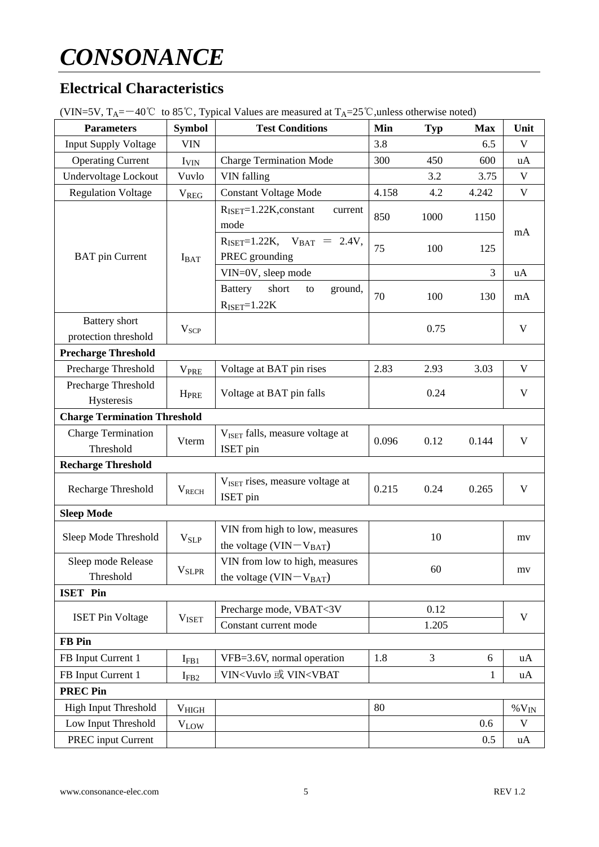### **Electrical Characteristics**

| <b>Parameters</b>                                | ΨI<br><b>Symbol</b>      | <b>Test Conditions</b>                                                                                   | Min              | <b>Typ</b>     | <b>Max</b>   | Unit                    |  |
|--------------------------------------------------|--------------------------|----------------------------------------------------------------------------------------------------------|------------------|----------------|--------------|-------------------------|--|
| <b>Input Supply Voltage</b>                      | <b>VIN</b>               |                                                                                                          | 3.8              |                | 6.5          | $\mathbf V$             |  |
| <b>Operating Current</b>                         | I <sub>VIN</sub>         | <b>Charge Termination Mode</b>                                                                           | 300              | 450            | 600          | uA                      |  |
| Undervoltage Lockout                             | Vuvlo                    | VIN falling                                                                                              |                  | 3.2            | 3.75         | $\mathbf V$             |  |
| <b>Regulation Voltage</b>                        | V <sub>REG</sub>         | <b>Constant Voltage Mode</b>                                                                             | 4.158            | 4.2            | 4.242        | $\mathbf V$             |  |
|                                                  |                          | $R_{\text{ISET}}=1.22K$ , constant<br>current<br>mode                                                    | 850<br>1000      |                | 1150         | mA                      |  |
| <b>BAT</b> pin Current                           | $I_{BAT}$                | $R_{\text{ISET}}=1.22K$ , $V_{\text{BAT}} = 2.4V$ ,<br>PREC grounding                                    | 75<br>100<br>125 |                |              |                         |  |
|                                                  |                          | VIN=0V, sleep mode                                                                                       |                  |                | 3            | uA                      |  |
|                                                  |                          | short<br>Battery<br>ground,<br>to<br>$R_{ISET}=1.22K$                                                    | 70               | 100            | 130          | mA                      |  |
| <b>Battery</b> short                             |                          |                                                                                                          |                  | 0.75           |              | $\mathbf V$             |  |
| protection threshold                             | $V_{\text{SCP}}$         |                                                                                                          |                  |                |              |                         |  |
| <b>Precharge Threshold</b>                       |                          |                                                                                                          |                  |                |              |                         |  |
| Precharge Threshold                              | <b>V<sub>PRE</sub></b>   | Voltage at BAT pin rises                                                                                 | 2.83             | 2.93           | 3.03         | $\mathbf V$             |  |
| Precharge Threshold<br><b>HPRE</b><br>Hysteresis |                          | Voltage at BAT pin falls                                                                                 |                  | 0.24           |              | $\mathbf V$             |  |
| <b>Charge Termination Threshold</b>              |                          |                                                                                                          |                  |                |              |                         |  |
| <b>Charge Termination</b>                        |                          | V <sub>ISET</sub> falls, measure voltage at                                                              |                  |                |              |                         |  |
| Vterm<br>Threshold                               |                          | ISET pin                                                                                                 | 0.096<br>0.12    |                | 0.144        | $\mathbf V$             |  |
| <b>Recharge Threshold</b>                        |                          |                                                                                                          |                  |                |              |                         |  |
| Recharge Threshold                               | $V_{RECH}$               | V <sub>ISET</sub> rises, measure voltage at<br><b>ISET</b> pin                                           | 0.215            | 0.24           | 0.265        | $\mathbf{V}$            |  |
| <b>Sleep Mode</b>                                |                          |                                                                                                          |                  |                |              |                         |  |
| Sleep Mode Threshold                             | <b>V<sub>SLP</sub></b>   | VIN from high to low, measures<br>the voltage $(VIN-VBAT)$                                               | 10               |                | mv           |                         |  |
| Sleep mode Release                               |                          | VIN from low to high, measures                                                                           | 60               |                | mv           |                         |  |
| Threshold                                        | <b>V</b> <sub>SLPR</sub> | the voltage $(VIN-VBAT)$                                                                                 |                  |                |              |                         |  |
| <b>ISET Pin</b>                                  |                          |                                                                                                          |                  |                |              |                         |  |
|                                                  |                          | Precharge mode, VBAT<3V                                                                                  |                  | 0.12           |              |                         |  |
| <b>ISET Pin Voltage</b>                          | <b>VISET</b>             | Constant current mode                                                                                    | 1.205            |                | $\mathbf{V}$ |                         |  |
| <b>FB</b> Pin                                    |                          |                                                                                                          |                  |                |              |                         |  |
| FB Input Current 1                               | $I_{FB1}$                | VFB=3.6V, normal operation                                                                               | 1.8              | $\overline{3}$ | 6            | uA                      |  |
| FB Input Current 1                               | $I_{FB2}$                | VIN <vuvlo td="" vin<vbat<="" 或=""><td></td><td></td><td><math>\mathbf{1}</math></td><td>uA</td></vuvlo> |                  |                | $\mathbf{1}$ | uA                      |  |
| <b>PREC Pin</b>                                  |                          |                                                                                                          |                  |                |              |                         |  |
| <b>High Input Threshold</b><br>V <sub>HIGH</sub> |                          |                                                                                                          | 80               |                |              | $\% \, \mathrm{V_{IN}}$ |  |
| Low Input Threshold                              | <b>VLOW</b>              | 0.6                                                                                                      |                  |                | $\mathbf V$  |                         |  |
| PREC input Current                               |                          |                                                                                                          |                  |                | 0.5          | uA                      |  |

(VIN=5V,  $T_A = -40^{\circ}\text{C}$  to 85°C, Typical Values are measured at  $T_A = 25^{\circ}\text{C}$ , unless otherwise noted)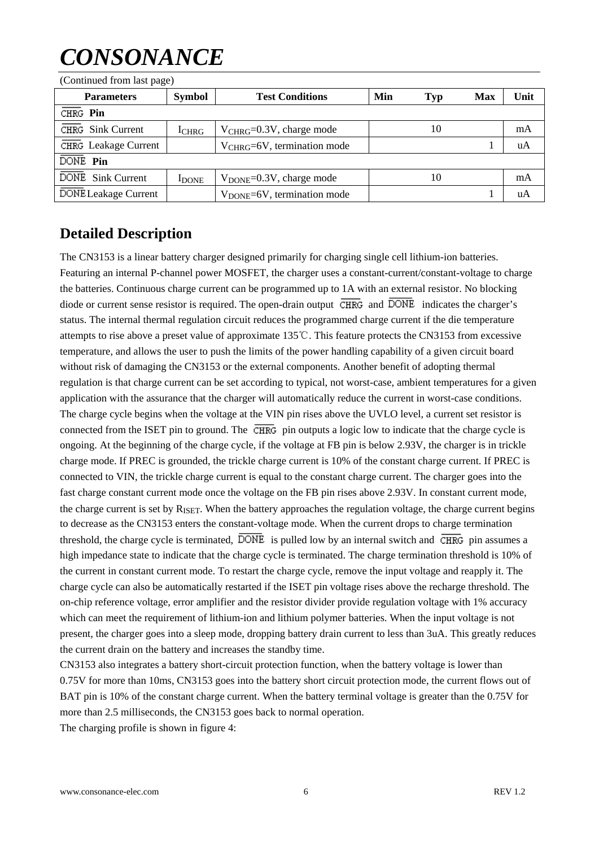| (COMMUNICATION RESERVENCE |               |                                           |            |    |            |      |
|---------------------------|---------------|-------------------------------------------|------------|----|------------|------|
| <b>Parameters</b>         | <b>Symbol</b> | <b>Test Conditions</b>                    | Min<br>Typ |    | <b>Max</b> | Unit |
| CHRG Pin                  |               |                                           |            |    |            |      |
| CHRG Sink Current         | $I_{CHRG}$    | $V_{CHRG}=0.3V$ , charge mode             |            | 10 |            | mA   |
| CHRG Leakage Current      |               | $V_{CHRG}=6V$ , termination mode          |            |    |            | uA   |
| DONE Pin                  |               |                                           |            |    |            |      |
| DONE Sink Current         | <b>I</b> DONE | $V_{\text{DONE}} = 0.3V$ , charge mode    |            | 10 |            | mA   |
| DONE Leakage Current      |               | $V_{\text{DONE}} = 6V$ , termination mode |            |    |            | uA   |

(Continued from last page)

### **Detailed Description**

The CN3153 is a linear battery charger designed primarily for charging single cell lithium-ion batteries. Featuring an internal P-channel power MOSFET, the charger uses a constant-current/constant-voltage to charge the batteries. Continuous charge current can be programmed up to 1A with an external resistor. No blocking diode or current sense resistor is required. The open-drain output  $\overline{\text{CHRG}}$  and  $\overline{\text{DONE}}$  indicates the charger's status. The internal thermal regulation circuit reduces the programmed charge current if the die temperature attempts to rise above a preset value of approximate 135℃. This feature protects the CN3153 from excessive temperature, and allows the user to push the limits of the power handling capability of a given circuit board without risk of damaging the CN3153 or the external components. Another benefit of adopting thermal regulation is that charge current can be set according to typical, not worst-case, ambient temperatures for a given application with the assurance that the charger will automatically reduce the current in worst-case conditions. The charge cycle begins when the voltage at the VIN pin rises above the UVLO level, a current set resistor is connected from the ISET pin to ground. The  $\overline{\text{CHRG}}$  pin outputs a logic low to indicate that the charge cycle is ongoing. At the beginning of the charge cycle, if the voltage at FB pin is below 2.93V, the charger is in trickle charge mode. If PREC is grounded, the trickle charge current is 10% of the constant charge current. If PREC is connected to VIN, the trickle charge current is equal to the constant charge current. The charger goes into the fast charge constant current mode once the voltage on the FB pin rises above 2.93V. In constant current mode, the charge current is set by R<sub>ISET</sub>. When the battery approaches the regulation voltage, the charge current begins to decrease as the CN3153 enters the constant-voltage mode. When the current drops to charge termination threshold, the charge cycle is terminated,  $\overline{DONE}$  is pulled low by an internal switch and  $\overline{CHRG}$  pin assumes a high impedance state to indicate that the charge cycle is terminated. The charge termination threshold is 10% of the current in constant current mode. To restart the charge cycle, remove the input voltage and reapply it. The charge cycle can also be automatically restarted if the ISET pin voltage rises above the recharge threshold. The on-chip reference voltage, error amplifier and the resistor divider provide regulation voltage with 1% accuracy which can meet the requirement of lithium-ion and lithium polymer batteries. When the input voltage is not present, the charger goes into a sleep mode, dropping battery drain current to less than 3uA. This greatly reduces the current drain on the battery and increases the standby time.

CN3153 also integrates a battery short-circuit protection function, when the battery voltage is lower than 0.75V for more than 10ms, CN3153 goes into the battery short circuit protection mode, the current flows out of BAT pin is 10% of the constant charge current. When the battery terminal voltage is greater than the 0.75V for more than 2.5 milliseconds, the CN3153 goes back to normal operation.

The charging profile is shown in figure 4: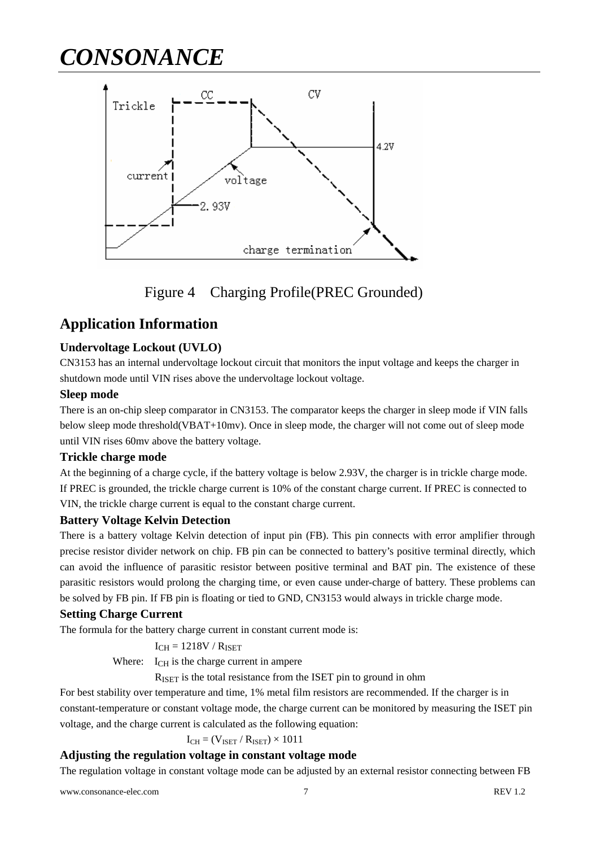

Figure 4 Charging Profile(PREC Grounded)

### **Application Information**

#### **Undervoltage Lockout (UVLO)**

CN3153 has an internal undervoltage lockout circuit that monitors the input voltage and keeps the charger in shutdown mode until VIN rises above the undervoltage lockout voltage.

#### **Sleep mode**

There is an on-chip sleep comparator in CN3153. The comparator keeps the charger in sleep mode if VIN falls below sleep mode threshold(VBAT+10mv). Once in sleep mode, the charger will not come out of sleep mode until VIN rises 60mv above the battery voltage.

#### **Trickle charge mode**

At the beginning of a charge cycle, if the battery voltage is below 2.93V, the charger is in trickle charge mode. If PREC is grounded, the trickle charge current is 10% of the constant charge current. If PREC is connected to VIN, the trickle charge current is equal to the constant charge current.

#### **Battery Voltage Kelvin Detection**

There is a battery voltage Kelvin detection of input pin (FB). This pin connects with error amplifier through precise resistor divider network on chip. FB pin can be connected to battery's positive terminal directly, which can avoid the influence of parasitic resistor between positive terminal and BAT pin. The existence of these parasitic resistors would prolong the charging time, or even cause under-charge of battery. These problems can be solved by FB pin. If FB pin is floating or tied to GND, CN3153 would always in trickle charge mode.

#### **Setting Charge Current**

The formula for the battery charge current in constant current mode is:

$$
I_{CH} = 1218V \mathbin{/} R_{ISET}
$$

Where:  $I_{\text{CH}}$  is the charge current in ampere

RISET is the total resistance from the ISET pin to ground in ohm

For best stability over temperature and time, 1% metal film resistors are recommended. If the charger is in constant-temperature or constant voltage mode, the charge current can be monitored by measuring the ISET pin voltage, and the charge current is calculated as the following equation:

$$
I_{CH} = (V_{ISET} / R_{ISET}) \times 1011
$$

#### **Adjusting the regulation voltage in constant voltage mode**

The regulation voltage in constant voltage mode can be adjusted by an external resistor connecting between FB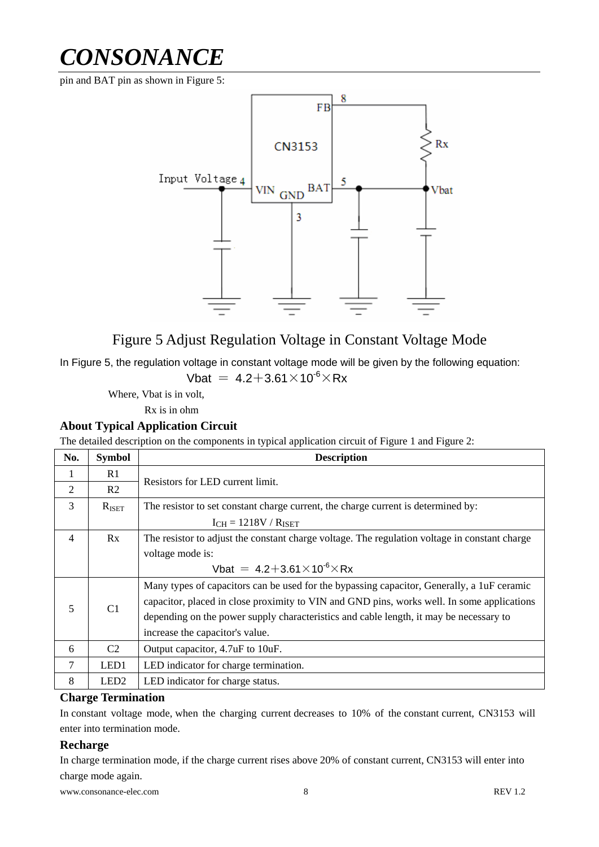pin and BAT pin as shown in Figure 5:



### Figure 5 Adjust Regulation Voltage in Constant Voltage Mode

In Figure 5, the regulation voltage in constant voltage mode will be given by the following equation:

Vbat =  $4.2 + 3.61 \times 10^{-6} \times Rx$ 

Where, Vbat is in volt,

Rx is in ohm

#### **About Typical Application Circuit**

The detailed description on the components in typical application circuit of Figure 1 and Figure 2:

| No.            | <b>Symbol</b>     | <b>Description</b>                                                                            |  |  |  |  |
|----------------|-------------------|-----------------------------------------------------------------------------------------------|--|--|--|--|
|                | R <sub>1</sub>    | Resistors for LED current limit.                                                              |  |  |  |  |
| $\overline{2}$ | R <sub>2</sub>    |                                                                                               |  |  |  |  |
| 3              | $R_{\text{ISET}}$ | The resistor to set constant charge current, the charge current is determined by:             |  |  |  |  |
|                |                   | $I_{CH} = 1218V / R_{ISET}$                                                                   |  |  |  |  |
| $\overline{4}$ | Rx                | The resistor to adjust the constant charge voltage. The regulation voltage in constant charge |  |  |  |  |
|                |                   | voltage mode is:                                                                              |  |  |  |  |
|                |                   | Vbat = $4.2 + 3.61 \times 10^{-6} \times Rx$                                                  |  |  |  |  |
|                |                   | Many types of capacitors can be used for the bypassing capacitor, Generally, a 1uF ceramic    |  |  |  |  |
| 5              | C1                | capacitor, placed in close proximity to VIN and GND pins, works well. In some applications    |  |  |  |  |
|                |                   | depending on the power supply characteristics and cable length, it may be necessary to        |  |  |  |  |
|                |                   | increase the capacitor's value.                                                               |  |  |  |  |
| 6              | C2                | Output capacitor, 4.7uF to 10uF.                                                              |  |  |  |  |
| 7              | LED1              | LED indicator for charge termination.                                                         |  |  |  |  |
| 8              | LED <sub>2</sub>  | LED indicator for charge status.                                                              |  |  |  |  |

#### **Charge Termination**

In constant voltage mode, when the charging current decreases to 10% of the constant current, CN3153 will enter into termination mode.

#### **Recharge**

In charge termination mode, if the charge current rises above 20% of constant current, CN3153 will enter into charge mode again.

www.consonance-elec.com 8 REV 1.2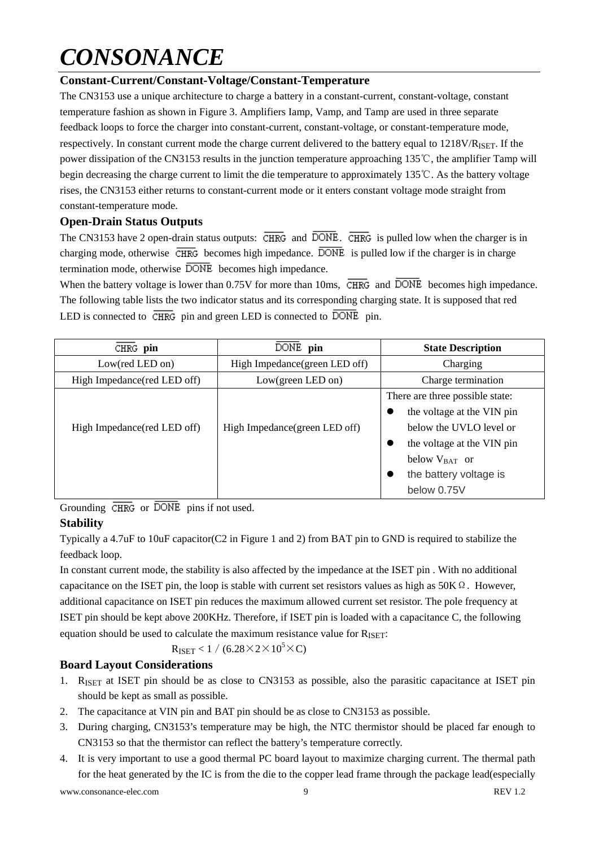#### **Constant-Current/Constant-Voltage/Constant-Temperature**

The CN3153 use a unique architecture to charge a battery in a constant-current, constant-voltage, constant temperature fashion as shown in Figure 3. Amplifiers Iamp, Vamp, and Tamp are used in three separate feedback loops to force the charger into constant-current, constant-voltage, or constant-temperature mode, respectively. In constant current mode the charge current delivered to the battery equal to 1218V/R<sub>ISET</sub>. If the power dissipation of the CN3153 results in the junction temperature approaching 135℃, the amplifier Tamp will begin decreasing the charge current to limit the die temperature to approximately 135℃. As the battery voltage rises, the CN3153 either returns to constant-current mode or it enters constant voltage mode straight from constant-temperature mode.

#### **Open-Drain Status Outputs**

The CN3153 have 2 open-drain status outputs:  $\overline{\text{CHRG}}$  and  $\overline{\text{DONE}}$ .  $\overline{\text{CHRG}}$  is pulled low when the charger is in charging mode, otherwise  $\overline{\text{CHRG}}$  becomes high impedance.  $\overline{\text{DONE}}$  is pulled low if the charger is in charge termination mode, otherwise  $\overline{DONE}$  becomes high impedance.

When the battery voltage is lower than 0.75V for more than 10ms,  $\overline{\text{CHRG}}$  and  $\overline{\text{DONE}}$  becomes high impedance. The following table lists the two indicator status and its corresponding charging state. It is supposed that red LED is connected to  $\overline{\text{CHRG}}$  pin and green LED is connected to  $\overline{\text{DONE}}$  pin.

| CHRG pin                     | DONE pin                       | <b>State Description</b>        |  |  |
|------------------------------|--------------------------------|---------------------------------|--|--|
| Low(red LED on)              | High Impedance (green LED off) | Charging                        |  |  |
| High Impedance (red LED off) | Low(green LED on)              | Charge termination              |  |  |
|                              |                                | There are three possible state: |  |  |
|                              |                                | the voltage at the VIN pin      |  |  |
| High Impedance (red LED off) | High Impedance (green LED off) | below the UVLO level or         |  |  |
|                              |                                | the voltage at the VIN pin      |  |  |
|                              |                                | below $V_{BAT}$ or              |  |  |
|                              |                                | the battery voltage is          |  |  |
|                              |                                | below 0.75V                     |  |  |

Grounding  $\overline{\text{CHRG}}$  or  $\overline{\text{DONE}}$  pins if not used.

#### **Stability**

Typically a 4.7uF to 10uF capacitor(C2 in Figure 1 and 2) from BAT pin to GND is required to stabilize the feedback loop.

In constant current mode, the stability is also affected by the impedance at the ISET pin . With no additional capacitance on the ISET pin, the loop is stable with current set resistors values as high as  $50K\Omega$ . However, additional capacitance on ISET pin reduces the maximum allowed current set resistor. The pole frequency at ISET pin should be kept above 200KHz. Therefore, if ISET pin is loaded with a capacitance C, the following equation should be used to calculate the maximum resistance value for  $R_{\text{ISET}}$ :

 $R_{\text{ISET}}$  < 1 / (6.28  $\times$  2  $\times$  10<sup>5</sup>  $\times$  C)

#### **Board Layout Considerations**

- 1. RISET at ISET pin should be as close to CN3153 as possible, also the parasitic capacitance at ISET pin should be kept as small as possible.
- 2. The capacitance at VIN pin and BAT pin should be as close to CN3153 as possible.
- 3. During charging, CN3153's temperature may be high, the NTC thermistor should be placed far enough to CN3153 so that the thermistor can reflect the battery's temperature correctly.
- 4. It is very important to use a good thermal PC board layout to maximize charging current. The thermal path for the heat generated by the IC is from the die to the copper lead frame through the package lead(especially

www.consonance-elec.com 9 REV 1.2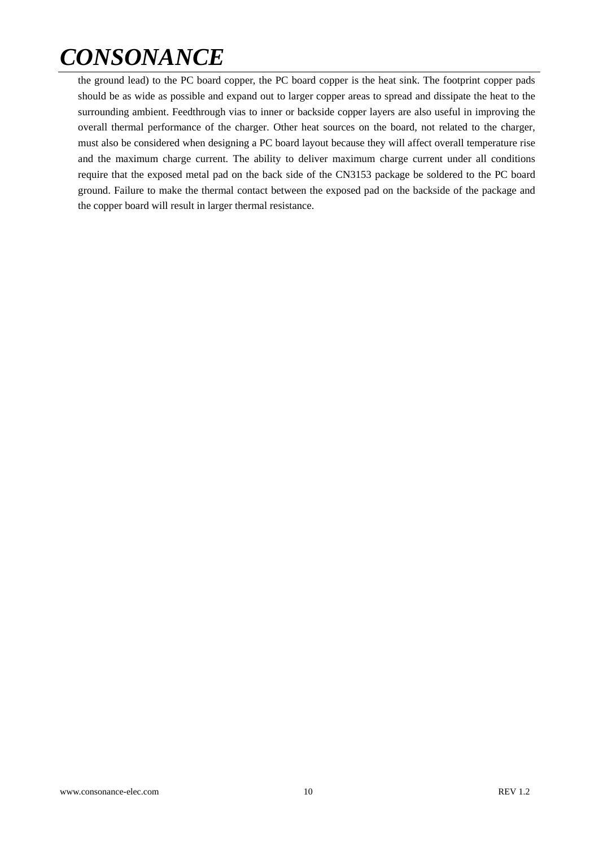the ground lead) to the PC board copper, the PC board copper is the heat sink. The footprint copper pads should be as wide as possible and expand out to larger copper areas to spread and dissipate the heat to the surrounding ambient. Feedthrough vias to inner or backside copper layers are also useful in improving the overall thermal performance of the charger. Other heat sources on the board, not related to the charger, must also be considered when designing a PC board layout because they will affect overall temperature rise and the maximum charge current. The ability to deliver maximum charge current under all conditions require that the exposed metal pad on the back side of the CN3153 package be soldered to the PC board ground. Failure to make the thermal contact between the exposed pad on the backside of the package and the copper board will result in larger thermal resistance.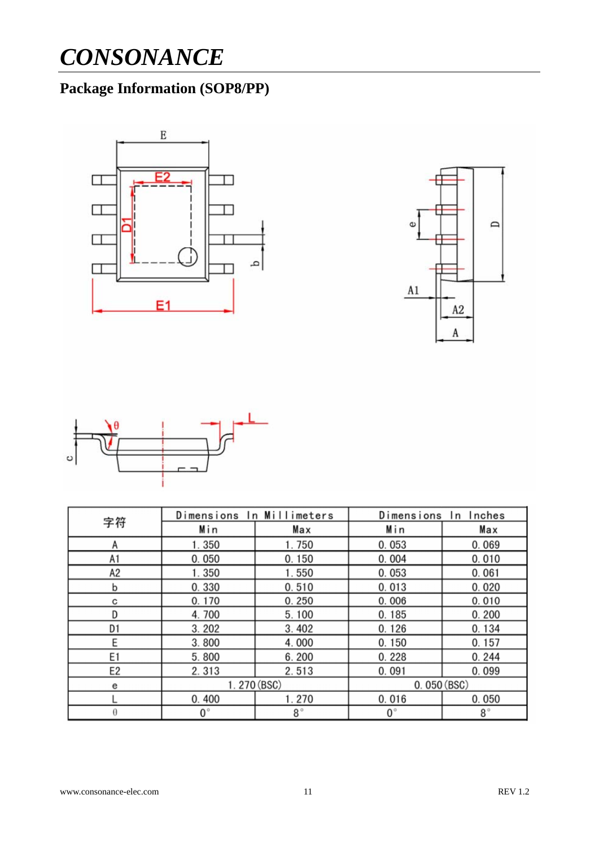## **Package Information (SOP8/PP)**







|                | Dimensions In Millimeters |             | Dimensions In Inches |             |  |
|----------------|---------------------------|-------------|----------------------|-------------|--|
| 字符             | Min                       | Max         | Min                  | Max         |  |
| Α              | 1.350                     | 1.750       | 0.053                | 0.069       |  |
| A1             | 0.050                     | 0.150       | 0.004                | 0.010       |  |
| А2             | 1.350                     | 1.550       | 0.053                | 0.061       |  |
| b              | 0.330                     | 0.510       | 0.013                | 0.020       |  |
| с              | 0.170                     | 0.250       | 0.006                | 0.010       |  |
| D              | 4.700                     | 5.100       | 0.185                | 0.200       |  |
| D1             | 3.202                     | 3.402       | 0.126                | 0.134       |  |
| E              | 3.800                     | 4.000       | 0.150                | 0.157       |  |
| E1             | 5.800                     | 6.200       | 0.228                | 0.244       |  |
| E <sub>2</sub> | 2.313                     | 2.513       | 0.091                | 0.099       |  |
| е              | 1.270 (BSC)               |             | 0.050(BSC)           |             |  |
|                | 0.400                     | 1.270       | 0.016                | 0.050       |  |
| θ              | $0^{\circ}$               | $8^{\circ}$ | $0^{\circ}$          | $8^{\circ}$ |  |